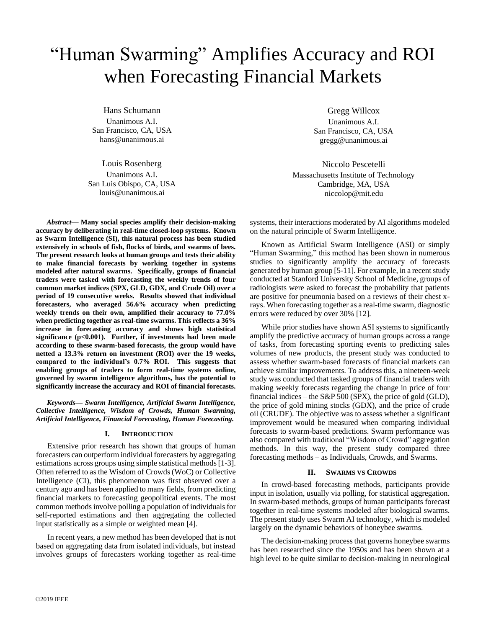# "Human Swarming" Amplifies Accuracy and ROI when Forecasting Financial Markets

Hans Schumann Unanimous A.I. San Francisco, CA, USA hans@unanimous.ai

Louis Rosenberg Unanimous A.I. San Luis Obispo, CA, USA louis@unanimous.ai

*Abstract***— Many social species amplify their decision-making accuracy by deliberating in real-time closed-loop systems. Known as Swarm Intelligence (SI), this natural process has been studied extensively in schools of fish, flocks of birds, and swarms of bees. The present research looks at human groups and tests their ability to make financial forecasts by working together in systems modeled after natural swarms. Specifically, groups of financial traders were tasked with forecasting the weekly trends of four common market indices (SPX, GLD, GDX, and Crude Oil) over a period of 19 consecutive weeks. Results showed that individual forecasters, who averaged 56.6% accuracy when predicting weekly trends on their own, amplified their accuracy to 77.0% when predicting together as real-time swarms. This reflects a 36% increase in forecasting accuracy and shows high statistical significance (p<0.001). Further, if investments had been made according to these swarm-based forecasts, the group would have netted a 13.3% return on investment (ROI) over the 19 weeks, compared to the individual's 0.7% ROI. This suggests that enabling groups of traders to form real-time systems online, governed by swarm intelligence algorithms, has the potential to significantly increase the accuracy and ROI of financial forecasts.** 

*Keywords— Swarm Intelligence, Artificial Swarm Intelligence, Collective Intelligence, Wisdom of Crowds, Human Swarming, Artificial Intelligence, Financial Forecasting, Human Forecasting.* 

# **I. INTRODUCTION**

Extensive prior research has shown that groups of human forecasters can outperform individual forecasters by aggregating estimations across groups using simple statistical methods [1-3]. Often referred to as the Wisdom of Crowds (WoC) or Collective Intelligence (CI), this phenomenon was first observed over a century ago and has been applied to many fields, from predicting financial markets to forecasting geopolitical events. The most common methods involve polling a population of individuals for self-reported estimations and then aggregating the collected input statistically as a simple or weighted mean [4].

In recent years, a new method has been developed that is not based on aggregating data from isolated individuals, but instead involves groups of forecasters working together as real-time

Gregg Willcox Unanimous A.I. San Francisco, CA, USA gregg@unanimous.ai

Niccolo Pescetelli Massachusetts Institute of Technology Cambridge, MA, USA niccolop@mit.edu

systems, their interactions moderated by AI algorithms modeled on the natural principle of Swarm Intelligence.

Known as Artificial Swarm Intelligence (ASI) or simply "Human Swarming," this method has been shown in numerous studies to significantly amplify the accuracy of forecasts generated by human group [5-11]. For example, in a recent study conducted at Stanford University School of Medicine, groups of radiologists were asked to forecast the probability that patients are positive for pneumonia based on a reviews of their chest xrays. When forecasting together as a real-time swarm, diagnostic errors were reduced by over 30% [12].

While prior studies have shown ASI systems to significantly amplify the predictive accuracy of human groups across a range of tasks, from forecasting sporting events to predicting sales volumes of new products, the present study was conducted to assess whether swarm-based forecasts of financial markets can achieve similar improvements. To address this, a nineteen-week study was conducted that tasked groups of financial traders with making weekly forecasts regarding the change in price of four financial indices – the S&P 500 (SPX), the price of gold (GLD), the price of gold mining stocks (GDX), and the price of crude oil (CRUDE). The objective was to assess whether a significant improvement would be measured when comparing individual forecasts to swarm-based predictions. Swarm performance was also compared with traditional "Wisdom of Crowd" aggregation methods. In this way, the present study compared three forecasting methods – as Individuals, Crowds, and Swarms.

# **II. SWARMS VS CROWDS**

In crowd-based forecasting methods, participants provide input in isolation, usually via polling, for statistical aggregation. In swarm-based methods, groups of human participants forecast together in real-time systems modeled after biological swarms. The present study uses Swarm AI technology, which is modeled largely on the dynamic behaviors of honeybee swarms.

The decision-making process that governs honeybee swarms has been researched since the 1950s and has been shown at a high level to be quite similar to decision-making in neurological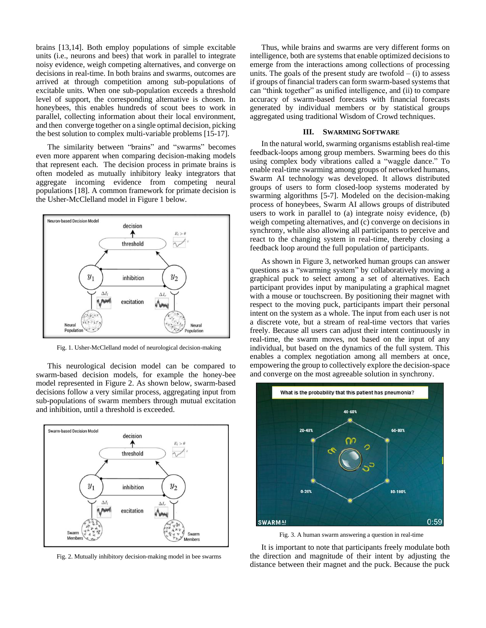brains [13,14]. Both employ populations of simple excitable units (i.e., neurons and bees) that work in parallel to integrate noisy evidence, weigh competing alternatives, and converge on decisions in real-time. In both brains and swarms, outcomes are arrived at through competition among sub-populations of excitable units. When one sub-population exceeds a threshold level of support, the corresponding alternative is chosen. In honeybees, this enables hundreds of scout bees to work in parallel, collecting information about their local environment, and then converge together on a single optimal decision, picking the best solution to complex multi-variable problems [15-17].

The similarity between "brains" and "swarms" becomes even more apparent when comparing decision-making models that represent each. The decision process in primate brains is often modeled as mutually inhibitory leaky integrators that aggregate incoming evidence from competing neural populations [18]. A common framework for primate decision is the Usher-McClelland model in Figure 1 below.



Fig. 1. Usher-McClelland model of neurological decision-making

This neurological decision model can be compared to swarm-based decision models, for example the honey-bee model represented in Figure 2. As shown below, swarm-based decisions follow a very similar process, aggregating input from sub-populations of swarm members through mutual excitation and inhibition, until a threshold is exceeded.



Fig. 2. Mutually inhibitory decision-making model in bee swarms

Thus, while brains and swarms are very different forms on intelligence, both are systems that enable optimized decisions to emerge from the interactions among collections of processing units. The goals of the present study are twofold  $-$  (i) to assess if groups of financial traders can form swarm-based systems that can "think together" as unified intelligence, and (ii) to compare accuracy of swarm-based forecasts with financial forecasts generated by individual members or by statistical groups aggregated using traditional Wisdom of Crowd techniques.

## **III. SWARMING SOFTWARE**

In the natural world, swarming organisms establish real-time feedback-loops among group members. Swarming bees do this using complex body vibrations called a "waggle dance." To enable real-time swarming among groups of networked humans, Swarm AI technology was developed. It allows distributed groups of users to form closed-loop systems moderated by swarming algorithms [5-7]. Modeled on the decision-making process of honeybees, Swarm AI allows groups of distributed users to work in parallel to (a) integrate noisy evidence, (b) weigh competing alternatives, and (c) converge on decisions in synchrony, while also allowing all participants to perceive and react to the changing system in real-time, thereby closing a feedback loop around the full population of participants.

As shown in Figure 3, networked human groups can answer questions as a "swarming system" by collaboratively moving a graphical puck to select among a set of alternatives. Each participant provides input by manipulating a graphical magnet with a mouse or touchscreen. By positioning their magnet with respect to the moving puck, participants impart their personal intent on the system as a whole. The input from each user is not a discrete vote, but a stream of real-time vectors that varies freely. Because all users can adjust their intent continuously in real-time, the swarm moves, not based on the input of any individual, but based on the dynamics of the full system. This enables a complex negotiation among all members at once, empowering the group to collectively explore the decision-space and converge on the most agreeable solution in synchrony.



Fig. 3. A human swarm answering a question in real-time

It is important to note that participants freely modulate both the direction and magnitude of their intent by adjusting the distance between their magnet and the puck. Because the puck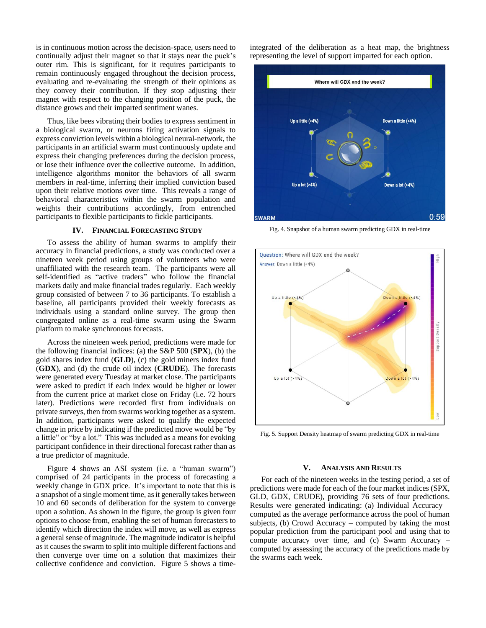is in continuous motion across the decision-space, users need to continually adjust their magnet so that it stays near the puck's outer rim. This is significant, for it requires participants to remain continuously engaged throughout the decision process, evaluating and re-evaluating the strength of their opinions as they convey their contribution. If they stop adjusting their magnet with respect to the changing position of the puck, the distance grows and their imparted sentiment wanes.

Thus, like bees vibrating their bodies to express sentiment in a biological swarm, or neurons firing activation signals to express conviction levels within a biological neural-network, the participants in an artificial swarm must continuously update and express their changing preferences during the decision process, or lose their influence over the collective outcome. In addition, intelligence algorithms monitor the behaviors of all swarm members in real-time, inferring their implied conviction based upon their relative motions over time. This reveals a range of behavioral characteristics within the swarm population and weights their contributions accordingly, from entrenched participants to flexible participants to fickle participants.

## **IV. FINANCIAL FORECASTING STUDY**

To assess the ability of human swarms to amplify their accuracy in financial predictions, a study was conducted over a nineteen week period using groups of volunteers who were unaffiliated with the research team. The participants were all self-identified as "active traders" who follow the financial markets daily and make financial trades regularly. Each weekly group consisted of between 7 to 36 participants. To establish a baseline, all participants provided their weekly forecasts as individuals using a standard online survey. The group then congregated online as a real-time swarm using the Swarm platform to make synchronous forecasts.

Across the nineteen week period, predictions were made for the following financial indices: (a) the S&P 500 (**SPX**), (b) the gold shares index fund (**GLD**), (c) the gold miners index fund (**GDX**), and (d) the crude oil index (**CRUDE**). The forecasts were generated every Tuesday at market close. The participants were asked to predict if each index would be higher or lower from the current price at market close on Friday (i.e. 72 hours later). Predictions were recorded first from individuals on private surveys, then from swarms working together as a system. In addition, participants were asked to qualify the expected change in price by indicating if the predicted move would be "by a little" or "by a lot." This was included as a means for evoking participant confidence in their directional forecast rather than as a true predictor of magnitude.

Figure 4 shows an ASI system (i.e. a "human swarm") comprised of 24 participants in the process of forecasting a weekly change in GDX price. It's important to note that this is a snapshot of a single moment time, as it generally takes between 10 and 60 seconds of deliberation for the system to converge upon a solution. As shown in the figure, the group is given four options to choose from, enabling the set of human forecasters to identify which direction the index will move, as well as express a general sense of magnitude. The magnitude indicator is helpful as it causes the swarm to split into multiple different factions and then converge over time on a solution that maximizes their collective confidence and conviction. Figure 5 shows a timeintegrated of the deliberation as a heat map, the brightness representing the level of support imparted for each option.



Fig. 4. Snapshot of a human swarm predicting GDX in real-time



Fig. 5. Support Density heatmap of swarm predicting GDX in real-time

## **V. ANALYSIS AND RESULTS**

For each of the nineteen weeks in the testing period, a set of predictions were made for each of the four market indices (SPX, GLD, GDX, CRUDE), providing 76 sets of four predictions. Results were generated indicating: (a) Individual Accuracy – computed as the average performance across the pool of human subjects, (b) Crowd Accuracy – computed by taking the most popular prediction from the participant pool and using that to compute accuracy over time, and (c) Swarm Accuracy – computed by assessing the accuracy of the predictions made by the swarms each week.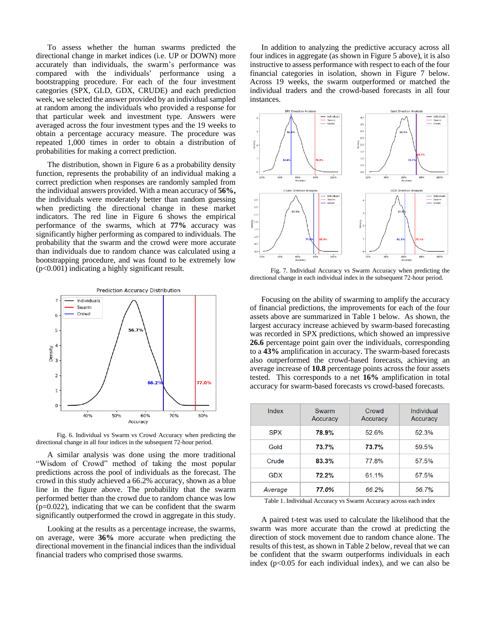To assess whether the human swarms predicted the directional change in market indices (i.e. UP or DOWN) more accurately than individuals, the swarm's performance was compared with the individuals' performance using a bootstrapping procedure. For each of the four investment categories (SPX, GLD, GDX, CRUDE) and each prediction week, we selected the answer provided by an individual sampled at random among the individuals who provided a response for that particular week and investment type. Answers were averaged across the four investment types and the 19 weeks to obtain a percentage accuracy measure. The procedure was repeated 1,000 times in order to obtain a distribution of probabilities for making a correct prediction.

The distribution, shown in Figure 6 as a probability density function, represents the probability of an individual making a correct prediction when responses are randomly sampled from the individual answers provided. With a mean accuracy of **56%,** the individuals were moderately better than random guessing when predicting the directional change in these market indicators. The red line in Figure 6 shows the empirical performance of the swarms, which at **77%** accuracy was significantly higher performing as compared to individuals. The probability that the swarm and the crowd were more accurate than individuals due to random chance was calculated using a bootstrapping procedure, and was found to be extremely low (p<0.001) indicating a highly significant result.



 Fig. 6. Individual vs Swarm vs Crowd Accuracy when predicting the directional change in all four indices in the subsequent 72-hour period.

A similar analysis was done using the more traditional "Wisdom of Crowd" method of taking the most popular predictions across the pool of individuals as the forecast. The crowd in this study achieved a 66.2% accuracy, shown as a blue line in the figure above. The probability that the swarm performed better than the crowd due to random chance was low  $(p=0.022)$ , indicating that we can be confident that the swarm significantly outperformed the crowd in aggregate in this study.

Looking at the results as a percentage increase, the swarms, on average, were **36%** more accurate when predicting the directional movement in the financial indices than the individual financial traders who comprised those swarms.

In addition to analyzing the predictive accuracy across all four indices in aggregate (as shown in Figure 5 above), it is also instructive to assess performance with respect to each of the four financial categories in isolation, shown in Figure 7 below. Across 19 weeks, the swarm outperformed or matched the individual traders and the crowd-based forecasts in all four instances.



 Fig. 7. Individual Accuracy vs Swarm Accuracy when predicting the directional change in each individual index in the subsequent 72-hour period.

Focusing on the ability of swarming to amplify the accuracy of financial predictions, the improvements for each of the four assets above are summarized in Table 1 below. As shown, the largest accuracy increase achieved by swarm-based forecasting was recorded in SPX predictions, which showed an impressive **26.6** percentage point gain over the individuals, corresponding to a **43%** amplification in accuracy. The swarm-based forecasts also outperformed the crowd-based forecasts, achieving an average increase of **10.8** percentage points across the four assets tested. This corresponds to a net **16%** amplification in total accuracy for swarm-based forecasts vs crowd-based forecasts.

| Index      | Swarm<br>Accuracy | Crowd<br>Accuracy | Individual<br>Accuracy |
|------------|-------------------|-------------------|------------------------|
| <b>SPX</b> | 78.9%             | 52.6%             | 52.3%                  |
| Gold       | 73.7%             | 73.7%             | 59.5%                  |
| Crude      | 83.3%             | 77.8%             | 57.5%                  |
| <b>GDX</b> | 72.2%             | 61.1%             | 57.5%                  |
| Average    | 77.0%             | 66.2%             | 56.7%                  |

Table 1. Individual Accuracy vs Swarm Accuracy across each index

A paired t-test was used to calculate the likelihood that the swarm was more accurate than the crowd at predicting the direction of stock movement due to random chance alone. The results of this test, as shown in Table 2 below, reveal that we can be confident that the swarm outperforms individuals in each index  $(p<0.05$  for each individual index), and we can also be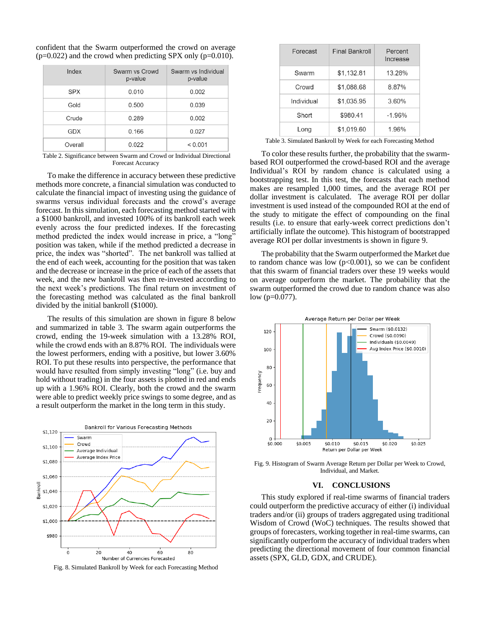| confident that the Swarm outperformed the crowd on average        |  |  |  |  |  |
|-------------------------------------------------------------------|--|--|--|--|--|
| $(p=0.022)$ and the crowd when predicting SPX only ( $p=0.010$ ). |  |  |  |  |  |

| Index      | Swarm vs Crowd<br>p-value | Swarm vs Individual<br>p-value |
|------------|---------------------------|--------------------------------|
| <b>SPX</b> | 0.010                     | 0.002                          |
| Gold       | 0.500                     | 0.039                          |
| Crude      | 0.289                     | 0.002                          |
| GDX        | 0.166                     | 0.027                          |
| Overall    | 0.022                     | < 0.001                        |

Table 2. Significance between Swarm and Crowd or Individual Directional Forecast Accuracy

To make the difference in accuracy between these predictive methods more concrete, a financial simulation was conducted to calculate the financial impact of investing using the guidance of swarms versus individual forecasts and the crowd's average forecast. In this simulation, each forecasting method started with a \$1000 bankroll, and invested 100% of its bankroll each week evenly across the four predicted indexes. If the forecasting method predicted the index would increase in price, a "long" position was taken, while if the method predicted a decrease in price, the index was "shorted". The net bankroll was tallied at the end of each week, accounting for the position that was taken and the decrease or increase in the price of each of the assets that week, and the new bankroll was then re-invested according to the next week's predictions. The final return on investment of the forecasting method was calculated as the final bankroll divided by the initial bankroll (\$1000).

The results of this simulation are shown in figure 8 below and summarized in table 3. The swarm again outperforms the crowd, ending the 19-week simulation with a 13.28% ROI, while the crowd ends with an 8.87% ROI. The individuals were the lowest performers, ending with a positive, but lower 3.60% ROI. To put these results into perspective, the performance that would have resulted from simply investing "long" (i.e. buy and hold without trading) in the four assets is plotted in red and ends up with a 1.96% ROI. Clearly, both the crowd and the swarm were able to predict weekly price swings to some degree, and as a result outperform the market in the long term in this study.



Fig. 8. Simulated Bankroll by Week for each Forecasting Method

| Forecast   | <b>Final Bankroll</b> | Percent<br>Increase |
|------------|-----------------------|---------------------|
| Swarm      | \$1,132.81            | 13.28%              |
| Crowd      | \$1,088.68            | 8.87%               |
| Individual | \$1.035.95            | 3.60%               |
| Short      | \$980.41              | $-1.96%$            |
| Long       | \$1,019.60            | 1.96%               |

Table 3. Simulated Bankroll by Week for each Forecasting Method

To color these results further, the probability that the swarmbased ROI outperformed the crowd-based ROI and the average Individual's ROI by random chance is calculated using a bootstrapping test. In this test, the forecasts that each method makes are resampled 1,000 times, and the average ROI per dollar investment is calculated. The average ROI per dollar investment is used instead of the compounded ROI at the end of the study to mitigate the effect of compounding on the final results (i.e. to ensure that early-week correct predictions don't artificially inflate the outcome). This histogram of bootstrapped average ROI per dollar investments is shown in figure 9.

The probability that the Swarm outperformed the Market due to random chance was low  $(p<0.001)$ , so we can be confident that this swarm of financial traders over these 19 weeks would on average outperform the market. The probability that the swarm outperformed the crowd due to random chance was also low (p=0.077).



Fig. 9. Histogram of Swarm Average Return per Dollar per Week to Crowd, Individual, and Market.

#### **VI. CONCLUSIONS**

This study explored if real-time swarms of financial traders could outperform the predictive accuracy of either (i) individual traders and/or (ii) groups of traders aggregated using traditional Wisdom of Crowd (WoC) techniques. The results showed that groups of forecasters, working together in real-time swarms, can significantly outperform the accuracy of individual traders when predicting the directional movement of four common financial assets (SPX, GLD, GDX, and CRUDE).